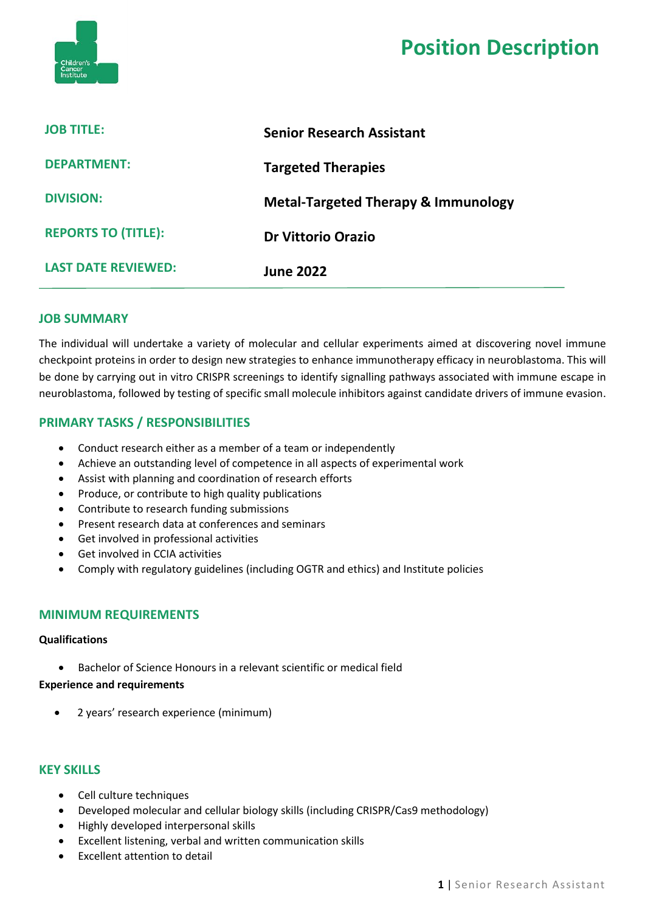

# **Position Description**

| <b>JOB TITLE:</b>          | <b>Senior Research Assistant</b>               |
|----------------------------|------------------------------------------------|
| <b>DEPARTMENT:</b>         | <b>Targeted Therapies</b>                      |
| <b>DIVISION:</b>           | <b>Metal-Targeted Therapy &amp; Immunology</b> |
| <b>REPORTS TO (TITLE):</b> | <b>Dr Vittorio Orazio</b>                      |
| <b>LAST DATE REVIEWED:</b> | <b>June 2022</b>                               |

#### **JOB SUMMARY**

The individual will undertake a variety of molecular and cellular experiments aimed at discovering novel immune checkpoint proteins in order to design new strategies to enhance immunotherapy efficacy in neuroblastoma. This will be done by carrying out in vitro CRISPR screenings to identify signalling pathways associated with immune escape in neuroblastoma, followed by testing of specific small molecule inhibitors against candidate drivers of immune evasion.

# **PRIMARY TASKS / RESPONSIBILITIES**

- Conduct research either as a member of a team or independently
- Achieve an outstanding level of competence in all aspects of experimental work
- Assist with planning and coordination of research efforts
- Produce, or contribute to high quality publications
- Contribute to research funding submissions
- Present research data at conferences and seminars
- Get involved in professional activities
- Get involved in CCIA activities
- Comply with regulatory guidelines (including OGTR and ethics) and Institute policies

## **MINIMUM REQUIREMENTS**

#### **Qualifications**

• Bachelor of Science Honours in a relevant scientific or medical field

#### **Experience and requirements**

• 2 years' research experience (minimum)

## **KEY SKILLS**

- Cell culture techniques
- Developed molecular and cellular biology skills (including CRISPR/Cas9 methodology)
- Highly developed interpersonal skills
- Excellent listening, verbal and written communication skills
- Excellent attention to detail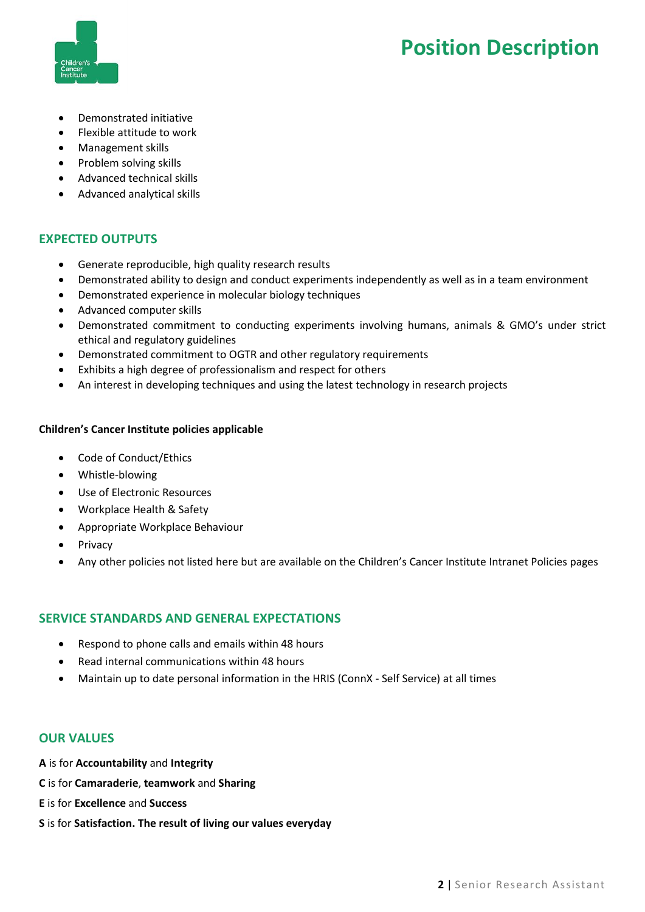



- Demonstrated initiative
- Flexible attitude to work
- Management skills
- Problem solving skills
- Advanced technical skills
- Advanced analytical skills

# **EXPECTED OUTPUTS**

- Generate reproducible, high quality research results
- Demonstrated ability to design and conduct experiments independently as well as in a team environment
- Demonstrated experience in molecular biology techniques
- Advanced computer skills
- Demonstrated commitment to conducting experiments involving humans, animals & GMO's under strict ethical and regulatory guidelines
- Demonstrated commitment to OGTR and other regulatory requirements
- Exhibits a high degree of professionalism and respect for others
- An interest in developing techniques and using the latest technology in research projects

#### **Children's Cancer Institute policies applicable**

- Code of Conduct/Ethics
- Whistle-blowing
- Use of Electronic Resources
- Workplace Health & Safety
- Appropriate Workplace Behaviour
- Privacy
- Any other policies not listed here but are available on the Children's Cancer Institute Intranet Policies pages

## **SERVICE STANDARDS AND GENERAL EXPECTATIONS**

- Respond to phone calls and emails within 48 hours
- Read internal communications within 48 hours
- Maintain up to date personal information in the HRIS (ConnX Self Service) at all times

## **OUR VALUES**

- **A** is for **Accountability** and **Integrity**
- **C** is for **Camaraderie**, **teamwork** and **Sharing**
- **E** is for **Excellence** and **Success**
- **S** is for **Satisfaction. The result of living our values everyday**